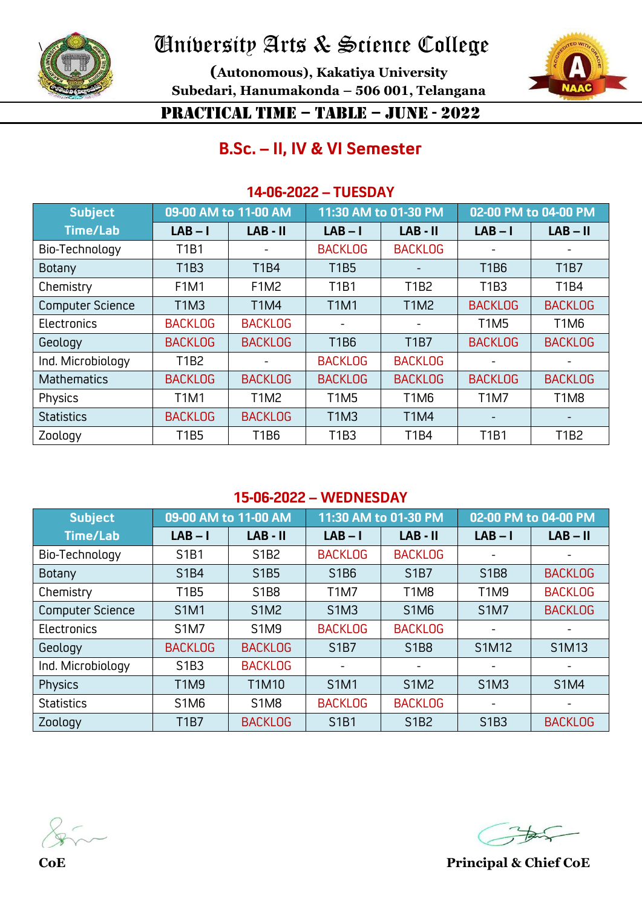

**(Autonomous), Kakatiya University Subedari, Hanumakonda – 506 001, Telangana**



### PRACTICAL TIME – TABLE – JUNE - 2022

### **B.Sc. – II, IV & VI Semester**

#### **14-06-2022 – TUESDAY**

| <b>Subject</b>          | 09-00 AM to 11-00 AM |                | 11:30 AM to 01-30 PM |                               | 02-00 PM to 04-00 PM     |                               |
|-------------------------|----------------------|----------------|----------------------|-------------------------------|--------------------------|-------------------------------|
| <b>Time/Lab</b>         | $LAB - I$            | $LAB - II$     | $LAB - I$            | $LAB - II$                    | $LAB - I$                | $LAB - II$                    |
| Bio-Technology          | <b>T1B1</b>          |                | <b>BACKLOG</b>       | <b>BACKLOG</b>                |                          |                               |
| Botany                  | <b>T1B3</b>          | <b>T1B4</b>    | <b>T1B5</b>          |                               | <b>T1B6</b>              | <b>T1B7</b>                   |
| Chemistry               | <b>F1M1</b>          | <b>F1M2</b>    | <b>T1B1</b>          | T1B2                          | T1B3                     | <b>T1B4</b>                   |
| <b>Computer Science</b> | <b>T1M3</b>          | <b>T1M4</b>    | <b>T1M1</b>          | <b>T1M2</b>                   | <b>BACKLOG</b>           | <b>BACKLOG</b>                |
| Electronics             | <b>BACKLOG</b>       | <b>BACKLOG</b> |                      |                               | <b>T1M5</b>              | T <sub>1</sub> M <sub>6</sub> |
| Geology                 | <b>BACKLOG</b>       | <b>BACKLOG</b> | T1B6                 | <b>T1B7</b>                   | <b>BACKLOG</b>           | <b>BACKLOG</b>                |
| Ind. Microbiology       | T1B2                 |                | <b>BACKLOG</b>       | <b>BACKLOG</b>                |                          |                               |
| <b>Mathematics</b>      | <b>BACKLOG</b>       | <b>BACKLOG</b> | <b>BACKLOG</b>       | <b>BACKLOG</b>                | <b>BACKLOG</b>           | <b>BACKLOG</b>                |
| Physics                 | <b>T1M1</b>          | <b>T1M2</b>    | <b>T1M5</b>          | T <sub>1</sub> M <sub>6</sub> | <b>T1M7</b>              | T <sub>1</sub> M <sub>8</sub> |
| <b>Statistics</b>       | <b>BACKLOG</b>       | <b>BACKLOG</b> | <b>T1M3</b>          | <b>T1M4</b>                   | $\overline{\phantom{0}}$ |                               |
| Zoology                 | <b>T1B5</b>          | <b>T1B6</b>    | T1B3                 | <b>T1B4</b>                   | <b>T1B1</b>              | T1B2                          |

#### **15-06-2022 – WEDNESDAY**

| <b>Subject</b>          | 09-00 AM to 11-00 AM          |                               | 11:30 AM to 01-30 PM          |                               | 02-00 PM to 04-00 PM          |                          |
|-------------------------|-------------------------------|-------------------------------|-------------------------------|-------------------------------|-------------------------------|--------------------------|
| <b>Time/Lab</b>         | $LAB - I$                     | $LAB - II$                    | $LAB - I$                     | $LAB - II$                    | $LAB - I$                     | $LAB - II$               |
| Bio-Technology          | S1B1                          | S1B2                          | <b>BACKLOG</b>                | <b>BACKLOG</b>                |                               |                          |
| Botany                  | <b>S1B4</b>                   | S1B5                          | S1B6                          | S <sub>1</sub> B <sub>7</sub> | S1B8                          | <b>BACKLOG</b>           |
| Chemistry               | <b>T1B5</b>                   | S1B8                          | <b>T1M7</b>                   | T <sub>1</sub> M <sub>8</sub> | <b>T1M9</b>                   | <b>BACKLOG</b>           |
| <b>Computer Science</b> | <b>S1M1</b>                   | <b>S1M2</b>                   | S1M3                          | <b>S1M6</b>                   | <b>S1M7</b>                   | <b>BACKLOG</b>           |
| Electronics             | <b>S1M7</b>                   | <b>S1M9</b>                   | <b>BACKLOG</b>                | <b>BACKLOG</b>                |                               | $\overline{\phantom{0}}$ |
| Geology                 | <b>BACKLOG</b>                | <b>BACKLOG</b>                | S <sub>1</sub> B <sub>7</sub> | <b>S1B8</b>                   | S1M12                         | S1M13                    |
| Ind. Microbiology       | S1B3                          | <b>BACKLOG</b>                | ٠                             |                               |                               | ۰                        |
| Physics                 | <b>T1M9</b>                   | T1M10                         | <b>S1M1</b>                   | <b>S1M2</b>                   | S <sub>1</sub> M <sub>3</sub> | <b>S1M4</b>              |
| <b>Statistics</b>       | S <sub>1</sub> M <sub>6</sub> | S <sub>1</sub> M <sub>8</sub> | <b>BACKLOG</b>                | <b>BACKLOG</b>                |                               | $\overline{\phantom{a}}$ |
| Zoology                 | <b>T1B7</b>                   | <b>BACKLOG</b>                | <b>S1B1</b>                   | S1B2                          | S <sub>1</sub> B <sub>3</sub> | <b>BACKLOG</b>           |

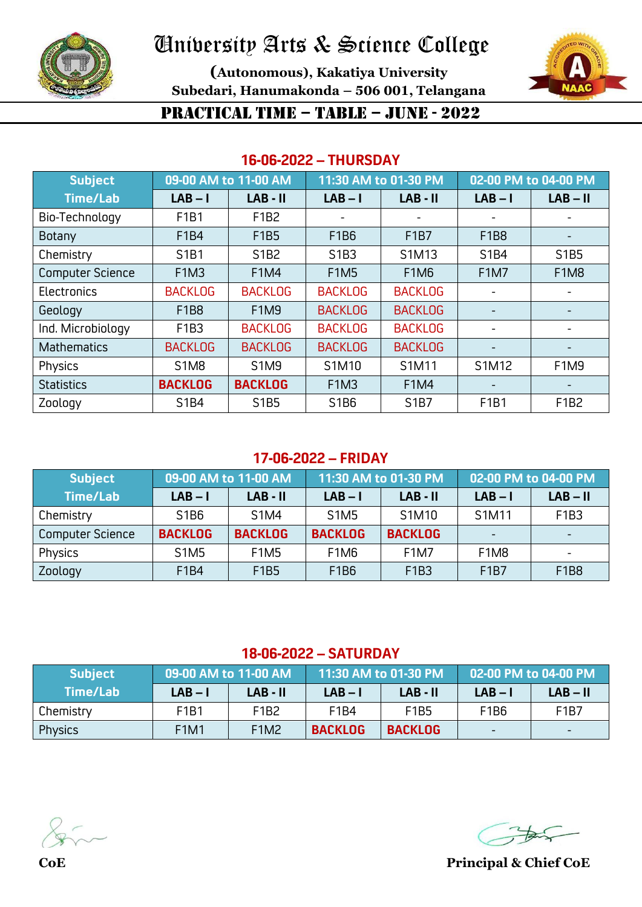

**(Autonomous), Kakatiya University Subedari, Hanumakonda – 506 001, Telangana**



### PRACTICAL TIME – TABLE – JUNE - 2022

#### **16-06-2022 – THURSDAY**

| <b>Subject</b>          | 09-00 AM to 11-00 AM |                | 11:30 AM to 01-30 PM |                | 02-00 PM to 04-00 PM     |             |
|-------------------------|----------------------|----------------|----------------------|----------------|--------------------------|-------------|
| <b>Time/Lab</b>         | $LAB - I$            | $LAB - II$     | $LAB - I$            | $LAB - II$     | $LAB - I$                | $LAB - II$  |
| Bio-Technology          | F1B1                 | F1B2           |                      |                | $\blacksquare$           |             |
| Botany                  | F1B4                 | F1B5           | F1B6                 | F1B7           | F1B8                     | -           |
| Chemistry               | S1B1                 | S1B2           | S1B3                 | S1M13          | S1B4                     | S1B5        |
| <b>Computer Science</b> | <b>F1M3</b>          | <b>F1M4</b>    | <b>F1M5</b>          | <b>F1M6</b>    | <b>F1M7</b>              | <b>F1M8</b> |
| Electronics             | <b>BACKLOG</b>       | <b>BACKLOG</b> | <b>BACKLOG</b>       | <b>BACKLOG</b> |                          | -           |
| Geology                 | <b>F1B8</b>          | <b>F1M9</b>    | <b>BACKLOG</b>       | <b>BACKLOG</b> |                          |             |
| Ind. Microbiology       | F1B3                 | <b>BACKLOG</b> | <b>BACKLOG</b>       | <b>BACKLOG</b> |                          |             |
| <b>Mathematics</b>      | <b>BACKLOG</b>       | <b>BACKLOG</b> | <b>BACKLOG</b>       | <b>BACKLOG</b> |                          |             |
| Physics                 | <b>S1M8</b>          | S1M9           | S1M10                | S1M11          | S1M12                    | <b>F1M9</b> |
| <b>Statistics</b>       | <b>BACKLOG</b>       | <b>BACKLOG</b> | <b>F1M3</b>          | <b>F1M4</b>    | $\overline{\phantom{0}}$ |             |
| Zoology                 | S1B4                 | S1B5           | S1B6                 | S1B7           | F1B1                     | F1B2        |

#### **17-06-2022 – FRIDAY**

| <b>Subject</b>          | 09-00 AM to 11-00 AM |                | 11:30 AM to 01-30 PM          |                | 02-00 PM to 04-00 PM          |            |
|-------------------------|----------------------|----------------|-------------------------------|----------------|-------------------------------|------------|
| <b>Time/Lab</b>         | $LAB - I$            | $LAB - II$     | $LAB - I$                     | $LAB - II$     | $LAB - I$                     | $LAB - II$ |
| Chemistry               | S1B6                 | <b>S1M4</b>    | <b>S1M5</b>                   | S1M10          | S1M11                         | F1B3       |
| <b>Computer Science</b> | <b>BACKLOG</b>       | <b>BACKLOG</b> | <b>BACKLOG</b>                | <b>BACKLOG</b> |                               |            |
| Physics                 | <b>S1M5</b>          | <b>F1M5</b>    | F <sub>1</sub> M <sub>6</sub> | <b>F1M7</b>    | F <sub>1</sub> M <sub>8</sub> |            |
| Zoology                 | F1B4                 | F1B5           | F1B6                          | F1B3           | F <sub>1</sub> B <sub>7</sub> | F1B8       |

#### **18-06-2022 – SATURDAY**

| <b>Subject</b> | 09-00 AM to 11-00 AM |             | 11:30 AM to 01-30 PM |                               | 02-00 PM to 04-00 PM |                               |
|----------------|----------------------|-------------|----------------------|-------------------------------|----------------------|-------------------------------|
| Time/Lab       | $LAB - I$            | LAB - II    | $LAB - I$            | LAB - II                      | $LAB - I$            | $LAB - II$                    |
| Chemistry      | F1B1                 | F1B2        | F1B4                 | F <sub>1</sub> B <sub>5</sub> | F1B6                 | F <sub>1</sub> B <sub>7</sub> |
| <b>Physics</b> | <b>F1M1</b>          | <b>F1M2</b> | <b>BACKLOG</b>       | <b>BACKLOG</b>                |                      |                               |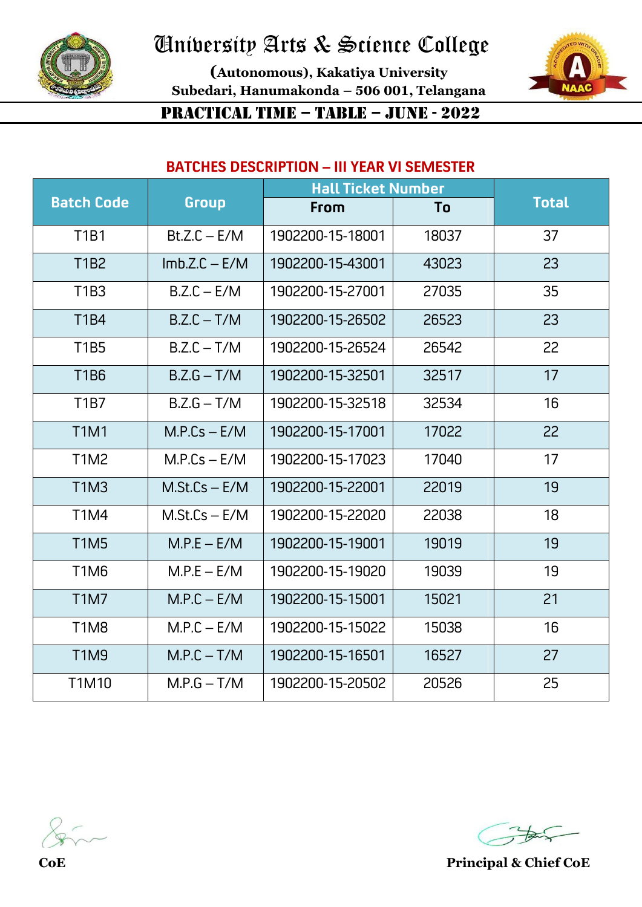

**(Autonomous), Kakatiya University Subedari, Hanumakonda – 506 001, Telangana**



PRACTICAL TIME – TABLE – JUNE - 2022

#### **BATCHES DESCRIPTION – III YEAR VI SEMESTER**

|                               |                 |                  | <b>Hall Ticket Number</b> |              |  |
|-------------------------------|-----------------|------------------|---------------------------|--------------|--|
| <b>Batch Code</b>             | Group           | From             | To                        | <b>Total</b> |  |
| <b>T1B1</b>                   | $Bt.Z.C - E/M$  | 1902200-15-18001 | 18037                     | 37           |  |
| <b>T1B2</b>                   | $Imb.Z.C - E/M$ | 1902200-15-43001 | 43023                     | 23           |  |
| T1B3                          | $B.Z.C - E/M$   | 1902200-15-27001 | 27035                     | 35           |  |
| T1B4                          | $B.Z.C - T/M$   | 1902200-15-26502 | 26523                     | 23           |  |
| <b>T1B5</b>                   | $B.Z.C - T/M$   | 1902200-15-26524 | 26542                     | 22           |  |
| <b>T1B6</b>                   | $B.Z.G - T/M$   | 1902200-15-32501 | 32517                     | 17           |  |
| T <sub>1</sub> B <sub>7</sub> | $B.Z.G - T/M$   | 1902200-15-32518 | 32534                     | 16           |  |
| <b>T1M1</b>                   | $M.P.Cs - E/M$  | 1902200-15-17001 | 17022                     | 22           |  |
| T1M2                          | $M.P.Cs - E/M$  | 1902200-15-17023 | 17040                     | 17           |  |
| <b>T1M3</b>                   | $M.St.Cs - E/M$ | 1902200-15-22001 | 22019                     | 19           |  |
| T1M4                          | $M.St.Cs - E/M$ | 1902200-15-22020 | 22038                     | 18           |  |
| T <sub>1</sub> M <sub>5</sub> | $M.P.E - E/M$   | 1902200-15-19001 | 19019                     | 19           |  |
| T1M6                          | $M.P.E - E/M$   | 1902200-15-19020 | 19039                     | 19           |  |
| T <sub>1</sub> M <sub>7</sub> | $M.P.C - E/M$   | 1902200-15-15001 | 15021                     | 21           |  |
| <b>T1M8</b>                   | $M.P.C - E/M$   | 1902200-15-15022 | 15038                     | 16           |  |
| <b>T1M9</b>                   | $M.P.C - T/M$   | 1902200-15-16501 | 16527                     | 27           |  |
| T1M10                         | $M.P.G - T/M$   | 1902200-15-20502 | 20526                     | 25           |  |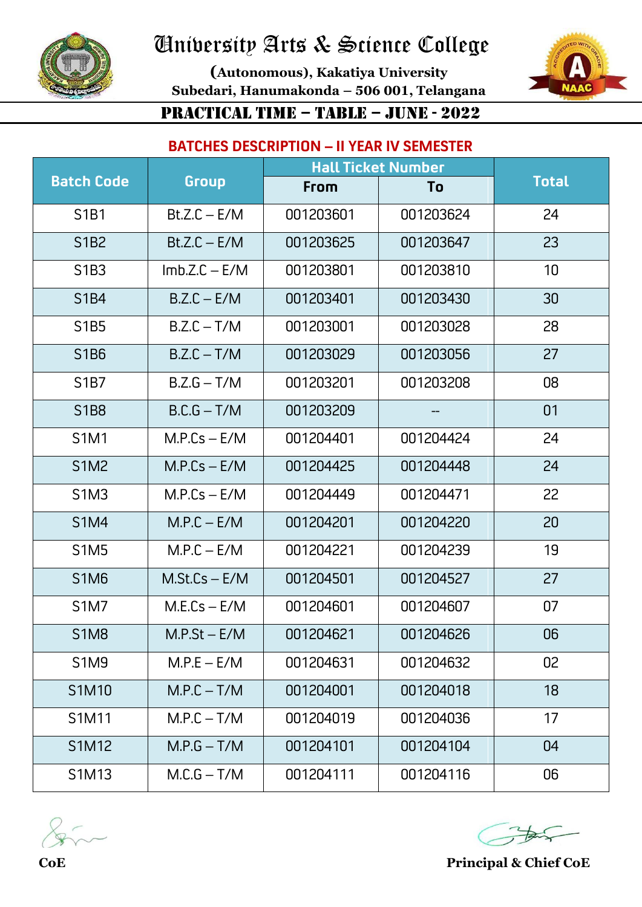

**(Autonomous), Kakatiya University Subedari, Hanumakonda – 506 001, Telangana** PRACTICAL TIME – TABLE – JUNE - 2022



### **BATCHES DESCRIPTION – II YEAR IV SEMESTER**

|                   | <b>Hall Ticket Number</b> |           |           |              |
|-------------------|---------------------------|-----------|-----------|--------------|
| <b>Batch Code</b> | Group                     | From      | To        | <b>Total</b> |
| S1B1              | $Bt.Z.C - E/M$            | 001203601 | 001203624 | 24           |
| S1B2              | $Bt.Z.C - E/M$            | 001203625 | 001203647 | 23           |
| S1B3              | $Imb.Z.C - E/M$           | 001203801 | 001203810 | 10           |
| <b>S1B4</b>       | $B.Z.C - E/M$             | 001203401 | 001203430 | 30           |
| S1B5              | $B.Z.C - T/M$             | 001203001 | 001203028 | 28           |
| S1B6              | $B.Z.C - T/M$             | 001203029 | 001203056 | 27           |
| S1B7              | $B.Z.G - T/M$             | 001203201 | 001203208 | 08           |
| <b>S1B8</b>       | $B.C.G - T/M$             | 001203209 |           | 01           |
| S1M1              | $M.P.Cs - E/M$            | 001204401 | 001204424 | 24           |
| <b>S1M2</b>       | $M.P.Cs - E/M$            | 001204425 | 001204448 | 24           |
| <b>S1M3</b>       | $M.P.Cs - E/M$            | 001204449 | 001204471 | 22           |
| <b>S1M4</b>       | $M.P.C - E/M$             | 001204201 | 001204220 | 20           |
| <b>S1M5</b>       | $M.P.C - E/M$             | 001204221 | 001204239 | 19           |
| <b>S1M6</b>       | $M.St.Cs - E/M$           | 001204501 | 001204527 | 27           |
| <b>S1M7</b>       | $M.E.Cs - E/M$            | 001204601 | 001204607 | 07           |
| <b>S1M8</b>       | $M.P.St - E/M$            | 001204621 | 001204626 | 06           |
| <b>S1M9</b>       | $M.P.E - E/M$             | 001204631 | 001204632 | 02           |
| S1M10             | $M.P.C - T/M$             | 001204001 | 001204018 | 18           |
| S1M11             | $M.P.C - T/M$             | 001204019 | 001204036 | 17           |
| S1M12             | $M.P.G - T/M$             | 001204101 | 001204104 | 04           |
| S1M13             | $M.C.G - T/M$             | 001204111 | 001204116 | 06           |

$$
\mathcal{E}_{\text{max}}
$$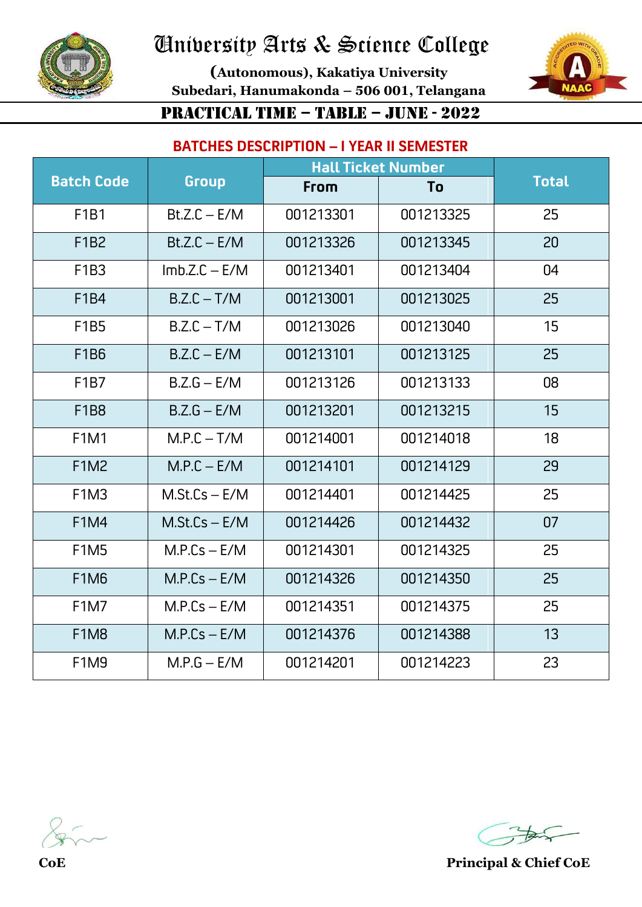

**(Autonomous), Kakatiya University Subedari, Hanumakonda – 506 001, Telangana** PRACTICAL TIME – TABLE – JUNE - 2022



# **BATCHES DESCRIPTION – I YEAR II SEMESTER**

|                               |                 | <b>Hall Ticket Number</b> |           |              |
|-------------------------------|-----------------|---------------------------|-----------|--------------|
| <b>Batch Code</b>             | Group           | From                      | To        | <b>Total</b> |
| F1B1                          | $Bt.Z.C - E/M$  | 001213301                 | 001213325 | 25           |
| F1B2                          | $Bt.Z.C - E/M$  | 001213326                 | 001213345 | 20           |
| F1B3                          | $Imb.Z.C - E/M$ | 001213401                 | 001213404 | 04           |
| F1B4                          | $B.Z.C - T/M$   | 001213001                 | 001213025 | 25           |
| <b>F1B5</b>                   | $B.Z.C - T/M$   | 001213026                 | 001213040 | 15           |
| F1B6                          | $B.Z.C - E/M$   | 001213101                 | 001213125 | 25           |
| F <sub>1</sub> B <sub>7</sub> | $B.Z.G - E/M$   | 001213126                 | 001213133 | 08           |
| F1B8                          | $B.Z.G - E/M$   | 001213201                 | 001213215 | 15           |
| <b>F1M1</b>                   | $M.P.C - T/M$   | 001214001                 | 001214018 | 18           |
| <b>F1M2</b>                   | $M.P.C - E/M$   | 001214101                 | 001214129 | 29           |
| <b>F1M3</b>                   | $M.St.Cs - E/M$ | 001214401                 | 001214425 | 25           |
| <b>F1M4</b>                   | $M.St.Cs - E/M$ | 001214426                 | 001214432 | 07           |
| <b>F1M5</b>                   | $M.P.Cs - E/M$  | 001214301                 | 001214325 | 25           |
| F <sub>1</sub> M <sub>6</sub> | $M.P.Cs - E/M$  | 001214326                 | 001214350 | 25           |
| <b>F1M7</b>                   | $M.P.Cs - E/M$  | 001214351                 | 001214375 | 25           |
| <b>F1M8</b>                   | $M.P.Cs - E/M$  | 001214376                 | 001214388 | 13           |
| <b>F1M9</b>                   | $M.P.G - E/M$   | 001214201                 | 001214223 | 23           |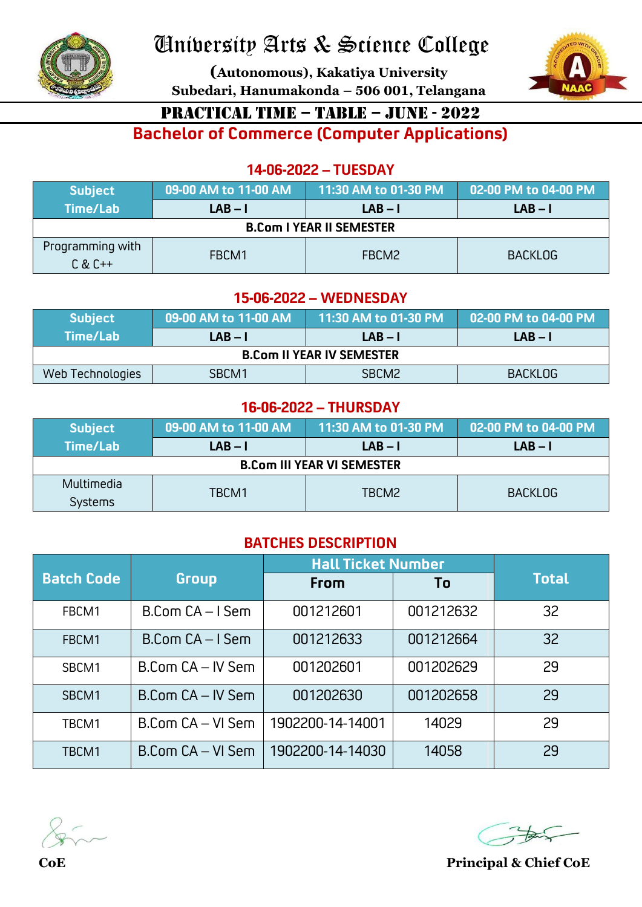

**(Autonomous), Kakatiya University Subedari, Hanumakonda – 506 001, Telangana**



### PRACTICAL TIME – TABLE – JUNE - 2022

**Bachelor of Commerce (Computer Applications)**

#### **14-06-2022 – TUESDAY**

| <b>Subject</b>                  | 09-00 AM to 11-00 AM | 11:30 AM to 01-30 PM | 02-00 PM to 04-00 PM |  |  |  |
|---------------------------------|----------------------|----------------------|----------------------|--|--|--|
| Time/Lab                        | $LAB - I$            | $LAB - I$            | $LAB - I$            |  |  |  |
| <b>B.Com I YEAR II SEMESTER</b> |                      |                      |                      |  |  |  |
| Programming with<br>$C & C++$   | FBCM1                | FBCM2                | <b>BACKLOG</b>       |  |  |  |

#### **15-06-2022 – WEDNESDAY**

| <b>Subject</b>                   | 09-00 AM to 11-00 AM | 11:30 AM to 01-30 PM | 02-00 PM to 04-00 PM |  |  |  |
|----------------------------------|----------------------|----------------------|----------------------|--|--|--|
| Time/Lab                         | $LAB - I$            | $LAB - I$            | $LAB - I$            |  |  |  |
| <b>B.Com II YEAR IV SEMESTER</b> |                      |                      |                      |  |  |  |
| Web Technologies                 | SBCM1                | SBCM <sub>2</sub>    | <b>BACKLOG</b>       |  |  |  |

#### **16-06-2022 – THURSDAY**

| <b>Subject</b>                    | 09-00 AM to 11-00 AM | 11:30 AM to 01-30 PM | 02-00 PM to 04-00 PM |  |  |  |
|-----------------------------------|----------------------|----------------------|----------------------|--|--|--|
| Time/Lab                          | $LAB - I$            | $LAB - I$            | $LAB - I$            |  |  |  |
| <b>B.Com III YEAR VI SEMESTER</b> |                      |                      |                      |  |  |  |
| Multimedia                        | TBCM1                | TBCM2                |                      |  |  |  |
| <b>Systems</b>                    |                      |                      | <b>BACKLOG</b>       |  |  |  |

### **BATCHES DESCRIPTION**

|                   |                       | <b>Hall Ticket Number</b> |           |              |
|-------------------|-----------------------|---------------------------|-----------|--------------|
| <b>Batch Code</b> | Group                 | From                      | To        | <b>Total</b> |
| FBCM1             | B.Com CA-I Sem        | 001212601                 | 001212632 | 32           |
| FBCM1             | $B$ .Com $CA - I$ Sem | 001212633                 | 001212664 | 32           |
| SBCM1             | B.Com CA - IV Sem     | 001202601                 | 001202629 | 29           |
| SBCM1             | B.Com CA - IV Sem     | 001202630                 | 001202658 | 29           |
| TBCM1             | B.Com CA - VI Sem     | 1902200-14-14001          | 14029     | 29           |
| TBCM1             | B.Com CA - VI Sem     | 1902200-14-14030          | 14058     | 29           |